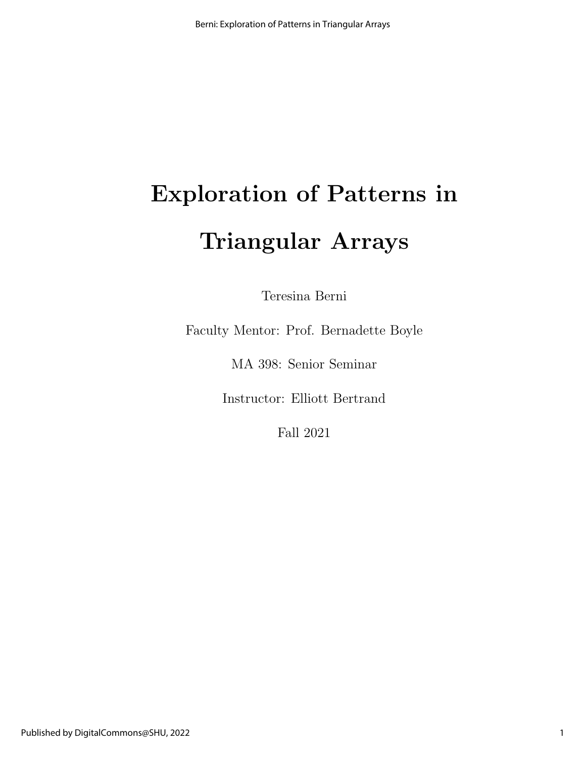# Exploration of Patterns in Triangular Arrays

Teresina Berni

Faculty Mentor: Prof. Bernadette Boyle

MA 398: Senior Seminar

Instructor: Elliott Bertrand

Fall 2021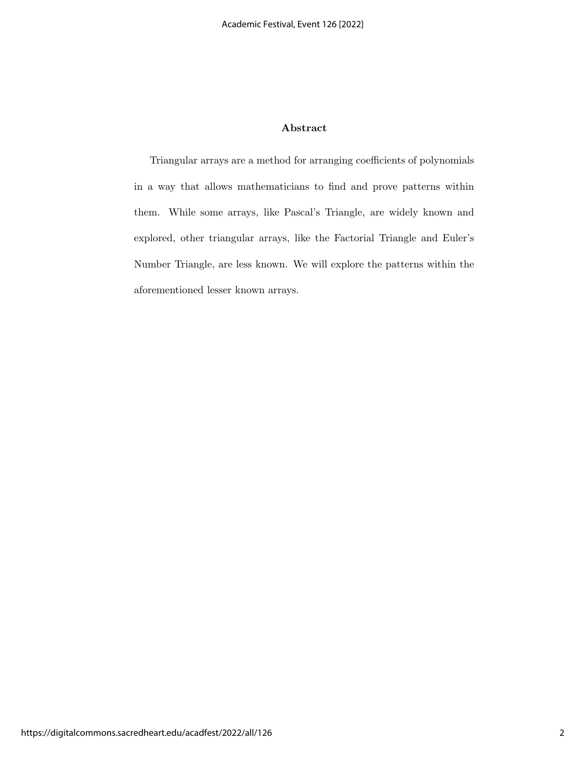#### Abstract

Triangular arrays are a method for arranging coefficients of polynomials in a way that allows mathematicians to find and prove patterns within them. While some arrays, like Pascal's Triangle, are widely known and explored, other triangular arrays, like the Factorial Triangle and Euler's Number Triangle, are less known. We will explore the patterns within the aforementioned lesser known arrays.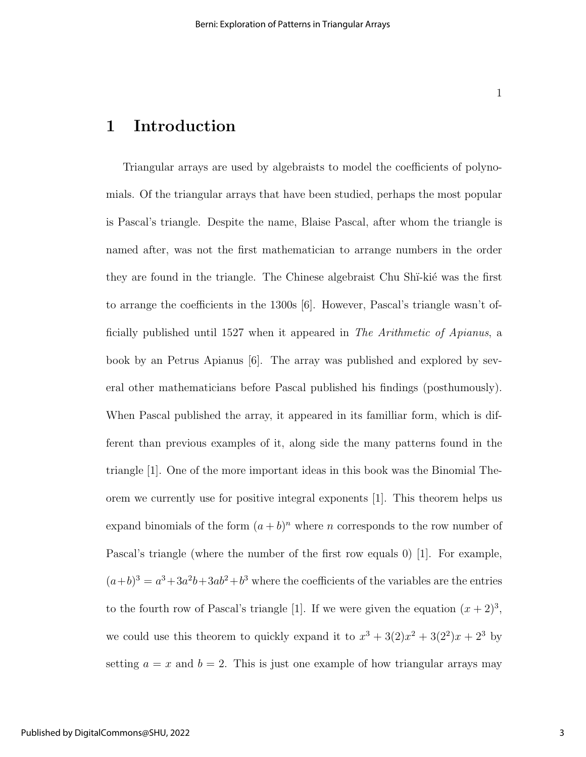## 1 Introduction

Triangular arrays are used by algebraists to model the coefficients of polynomials. Of the triangular arrays that have been studied, perhaps the most popular is Pascal's triangle. Despite the name, Blaise Pascal, after whom the triangle is named after, was not the first mathematician to arrange numbers in the order they are found in the triangle. The Chinese algebraist Chu Shi-kie was the first to arrange the coefficients in the 1300s [6]. However, Pascal's triangle wasn't officially published until 1527 when it appeared in The Arithmetic of Apianus, a book by an Petrus Apianus [6]. The array was published and explored by several other mathematicians before Pascal published his findings (posthumously). When Pascal published the array, it appeared in its familliar form, which is different than previous examples of it, along side the many patterns found in the triangle [1]. One of the more important ideas in this book was the Binomial Theorem we currently use for positive integral exponents [1]. This theorem helps us expand binomials of the form  $(a + b)^n$  where n corresponds to the row number of Pascal's triangle (where the number of the first row equals 0) [1]. For example,  $(a+b)^3 = a^3 + 3a^2b + 3ab^2 + b^3$  where the coefficients of the variables are the entries to the fourth row of Pascal's triangle [1]. If we were given the equation  $(x+2)^3$ , we could use this theorem to quickly expand it to  $x^3 + 3(2)x^2 + 3(2^2)x + 2^3$  by setting  $a = x$  and  $b = 2$ . This is just one example of how triangular arrays may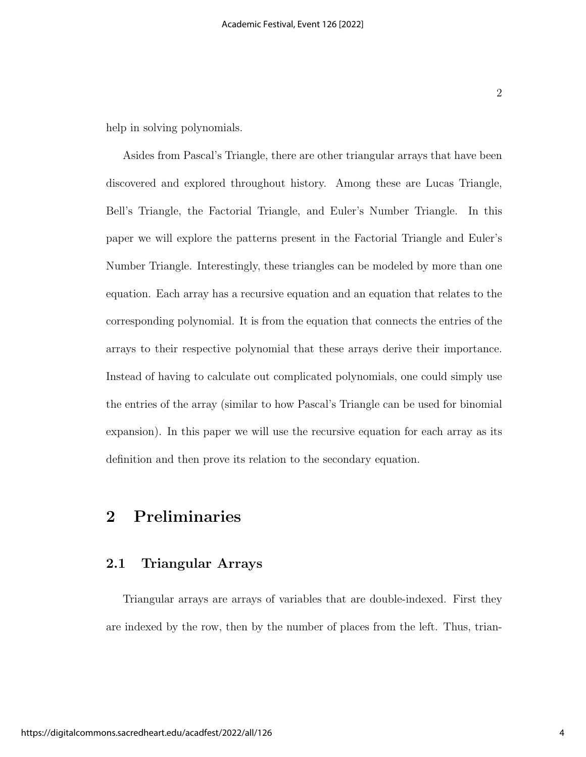help in solving polynomials.

Asides from Pascal's Triangle, there are other triangular arrays that have been discovered and explored throughout history. Among these are Lucas Triangle, Bell's Triangle, the Factorial Triangle, and Euler's Number Triangle. In this paper we will explore the patterns present in the Factorial Triangle and Euler's Number Triangle. Interestingly, these triangles can be modeled by more than one equation. Each array has a recursive equation and an equation that relates to the corresponding polynomial. It is from the equation that connects the entries of the arrays to their respective polynomial that these arrays derive their importance. Instead of having to calculate out complicated polynomials, one could simply use the entries of the array (similar to how Pascal's Triangle can be used for binomial expansion). In this paper we will use the recursive equation for each array as its definition and then prove its relation to the secondary equation.

## 2 Preliminaries

#### 2.1 Triangular Arrays

Triangular arrays are arrays of variables that are double-indexed. First they are indexed by the row, then by the number of places from the left. Thus, trian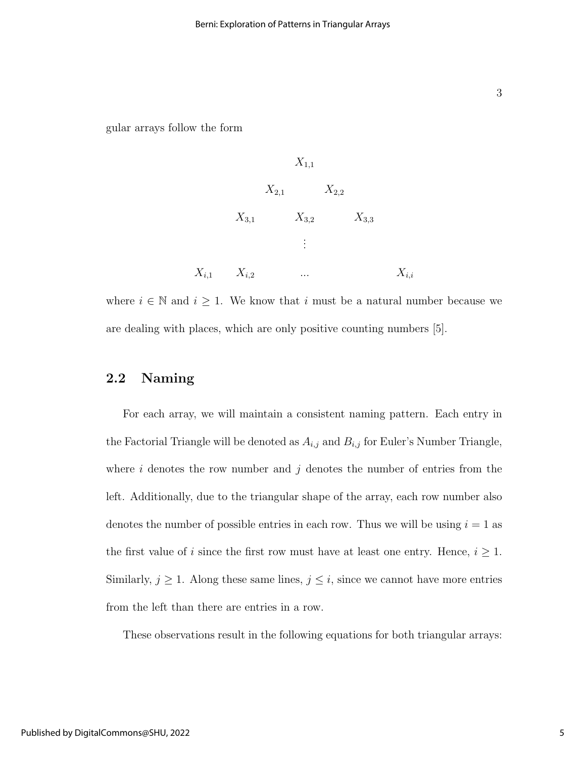gular arrays follow the form

$$
X_{1,1}
$$
\n
$$
X_{2,1}
$$
\n
$$
X_{3,1}
$$
\n
$$
X_{3,2}
$$
\n
$$
X_{3,3}
$$
\n
$$
\vdots
$$
\n
$$
X_{i,1}
$$
\n
$$
X_{i,2}
$$
\n
$$
\dots
$$
\n
$$
X_{i,i}
$$
\n
$$
X_{i,i}
$$

where  $i \in \mathbb{N}$  and  $i \geq 1$ . We know that i must be a natural number because we are dealing with places, which are only positive counting numbers [5].

#### 2.2 Naming

For each array, we will maintain a consistent naming pattern. Each entry in the Factorial Triangle will be denoted as  $A_{i,j}$  and  $B_{i,j}$  for Euler's Number Triangle, where  $i$  denotes the row number and  $j$  denotes the number of entries from the left. Additionally, due to the triangular shape of the array, each row number also denotes the number of possible entries in each row. Thus we will be using  $i = 1$  as the first value of i since the first row must have at least one entry. Hence,  $i \geq 1$ . Similarly,  $j \geq 1$ . Along these same lines,  $j \leq i$ , since we cannot have more entries from the left than there are entries in a row.

These observations result in the following equations for both triangular arrays: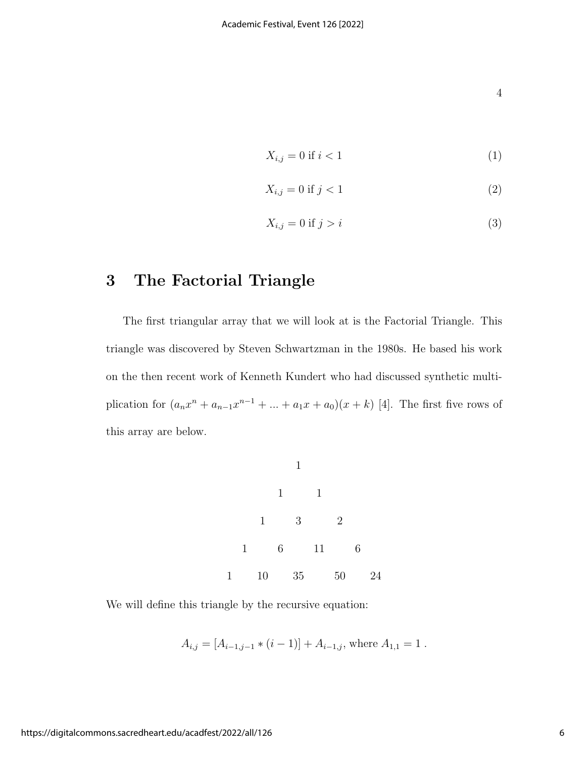4

$$
X_{i,j} = 0 \text{ if } i < 1 \tag{1}
$$

$$
X_{i,j} = 0 \text{ if } j < 1 \tag{2}
$$

$$
X_{i,j} = 0 \text{ if } j > i \tag{3}
$$

# 3 The Factorial Triangle

The first triangular array that we will look at is the Factorial Triangle. This triangle was discovered by Steven Schwartzman in the 1980s. He based his work on the then recent work of Kenneth Kundert who had discussed synthetic multiplication for  $(a_nx^n + a_{n-1}x^{n-1} + ... + a_1x + a_0)(x+k)$  [4]. The first five rows of this array are below.



We will define this triangle by the recursive equation:

$$
A_{i,j} = [A_{i-1,j-1} * (i-1)] + A_{i-1,j}
$$
, where  $A_{1,1} = 1$ .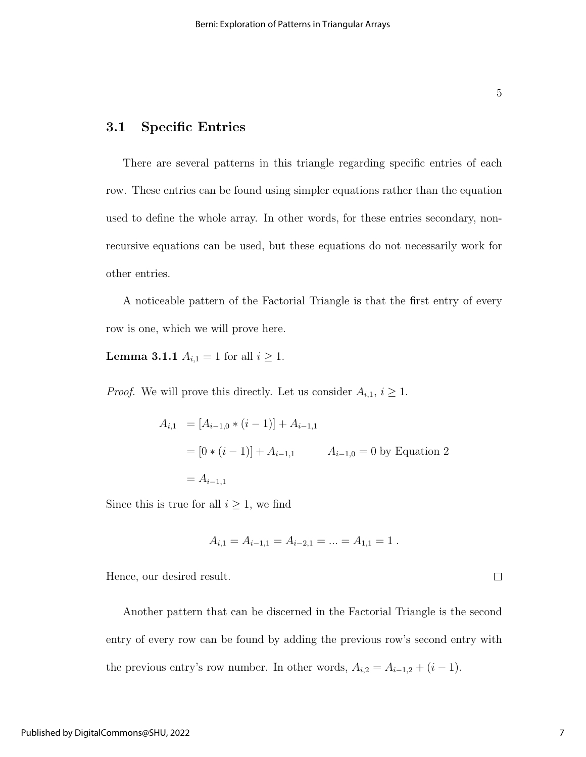### 3.1 Specific Entries

There are several patterns in this triangle regarding specific entries of each row. These entries can be found using simpler equations rather than the equation used to define the whole array. In other words, for these entries secondary, nonrecursive equations can be used, but these equations do not necessarily work for other entries.

A noticeable pattern of the Factorial Triangle is that the first entry of every row is one, which we will prove here.

**Lemma 3.1.1**  $A_{i,1} = 1$  for all  $i \ge 1$ .

*Proof.* We will prove this directly. Let us consider  $A_{i,1}$ ,  $i \geq 1$ .

$$
A_{i,1} = [A_{i-1,0} * (i-1)] + A_{i-1,1}
$$
  
= [0 \* (i - 1)] + A\_{i-1,1}   

$$
A_{i-1,0} = 0
$$
 by Equation 2  
= A<sub>i-1,1</sub>

Since this is true for all  $i \geq 1$ , we find

$$
A_{i,1} = A_{i-1,1} = A_{i-2,1} = \dots = A_{1,1} = 1.
$$

Hence, our desired result.

Another pattern that can be discerned in the Factorial Triangle is the second entry of every row can be found by adding the previous row's second entry with the previous entry's row number. In other words,  $A_{i,2} = A_{i-1,2} + (i-1)$ .

 $\Box$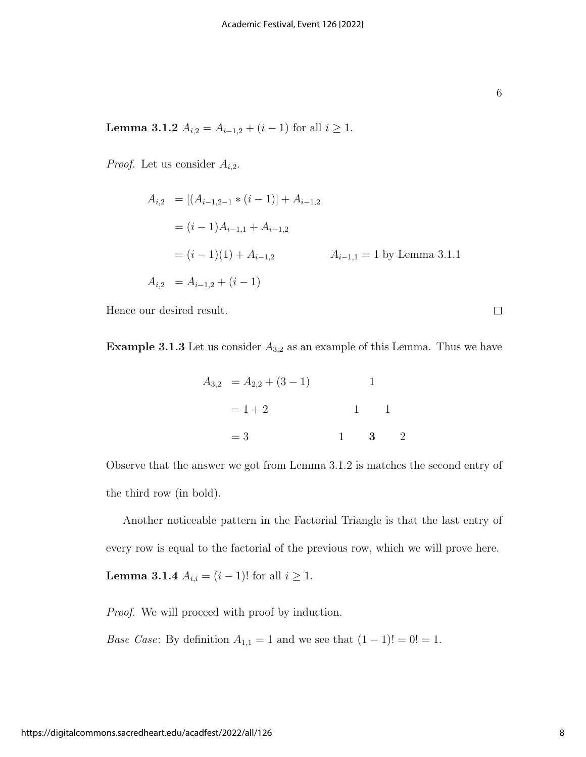| ۰, |         | I |
|----|---------|---|
| ٦  |         |   |
|    | ¢<br>۰. | I |

 $\Box$ 

Lemma 3.1.2  $A_{i,2} = A_{i-1,2} + (i-1)$  for all  $i \ge 1$ .

*Proof.* Let us consider  $A_{i,2}$ .

$$
A_{i,2} = [(A_{i-1,2-1} * (i-1)] + A_{i-1,2}
$$
  
=  $(i - 1)A_{i-1,1} + A_{i-1,2}$   
=  $(i - 1)(1) + A_{i-1,2}$   $A_{i-1,1} = 1$  by Lemma 3.1.1  
 $A_{i,2} = A_{i-1,2} + (i - 1)$ 

Hence our desired result.

**Example 3.1.3** Let us consider  $A_{3,2}$  as an example of this Lemma. Thus we have

$$
A_{3,2} = A_{2,2} + (3 - 1) \qquad 1
$$
  
= 1 + 2 \qquad 1 \qquad 1  
= 3 \qquad 1 \qquad 3 \qquad 2

Observe that the answer we got from Lemma 3.1.2 is matches the second entry of the third row (in bold).

Another noticeable pattern in the Factorial Triangle is that the last entry of every row is equal to the factorial of the previous row, which we will prove here. **Lemma 3.1.4**  $A_{i,i} = (i-1)!$  for all  $i \ge 1$ .

Proof. We will proceed with proof by induction.

*Base Case*: By definition  $A_{1,1} = 1$  and we see that  $(1 - 1)! = 0! = 1$ .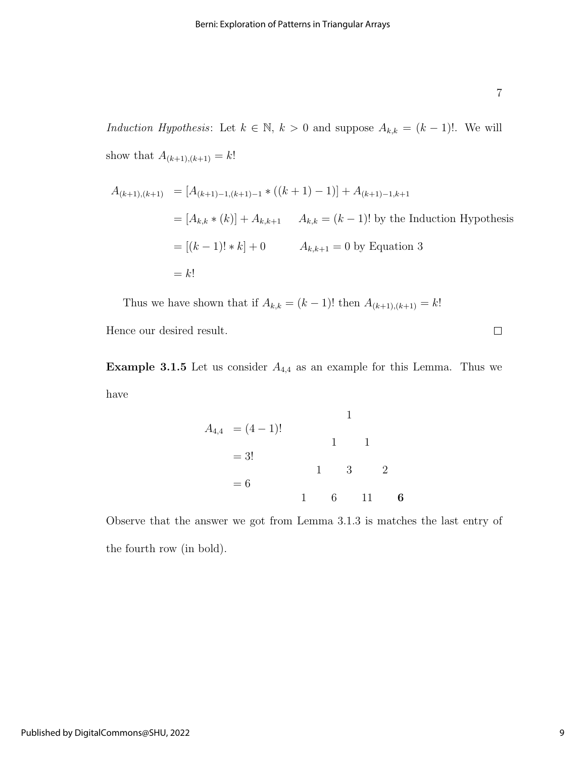Induction Hypothesis: Let  $k \in \mathbb{N}$ ,  $k > 0$  and suppose  $A_{k,k} = (k-1)!$ . We will show that  $A_{(k+1),(k+1)} = k!$ 

$$
A_{(k+1),(k+1)} = [A_{(k+1)-1,(k+1)-1} * ((k+1) - 1)] + A_{(k+1)-1,k+1}
$$
  
\n
$$
= [A_{k,k} * (k)] + A_{k,k+1} \qquad A_{k,k} = (k-1)! \text{ by the Induction Hypothesis}
$$
  
\n
$$
= [(k-1)! * k] + 0 \qquad A_{k,k+1} = 0 \text{ by Equation 3}
$$
  
\n
$$
= k!
$$

Thus we have shown that if  $A_{k,k} = (k-1)!$  then  $A_{(k+1),(k+1)} = k!$ 

Hence our desired result.

**Example 3.1.5** Let us consider  $A_{4,4}$  as an example for this Lemma. Thus we have

$$
A_{4,4} = (4-1)!
$$
  
= 3!  
= 6  
  

$$
1
$$
  

$$
1
$$
  

$$
1
$$
  

$$
1
$$
  

$$
1
$$
  

$$
1
$$
  

$$
1
$$
  

$$
1
$$
  

$$
1
$$
  

$$
1
$$
  

$$
2
$$
  

$$
1
$$
  

$$
6
$$
  

$$
11
$$
  

$$
6
$$
  

$$
11
$$
  

$$
6
$$
  

$$
11
$$
  

$$
6
$$
  

$$
11
$$
  

$$
6
$$
  

$$
11
$$
  

$$
16
$$

Observe that the answer we got from Lemma 3.1.3 is matches the last entry of the fourth row (in bold).

 $\Box$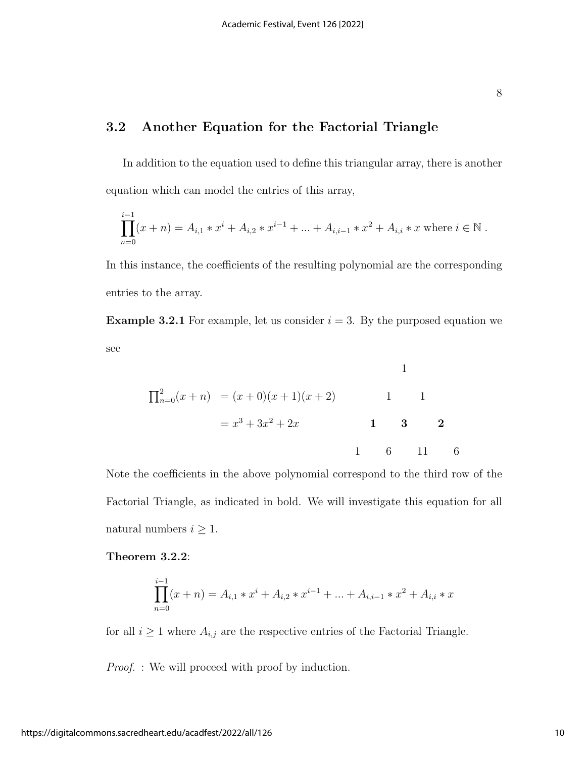## 3.2 Another Equation for the Factorial Triangle

In addition to the equation used to define this triangular array, there is another equation which can model the entries of this array,

$$
\prod_{n=0}^{i-1} (x+n) = A_{i,1} * x^{i} + A_{i,2} * x^{i-1} + \dots + A_{i,i-1} * x^{2} + A_{i,i} * x
$$
 where  $i \in \mathbb{N}$ .

In this instance, the coefficients of the resulting polynomial are the corresponding entries to the array.

**Example 3.2.1** For example, let us consider  $i = 3$ . By the purposed equation we see

$$
\Pi_{n=0}^{2}(x+n) = (x+0)(x+1)(x+2) \qquad 1 \qquad 1
$$

$$
= x^{3} + 3x^{2} + 2x \qquad 1 \qquad 3 \qquad 2
$$

$$
1 \qquad 6 \qquad 11 \qquad 6
$$

Note the coefficients in the above polynomial correspond to the third row of the Factorial Triangle, as indicated in bold. We will investigate this equation for all natural numbers  $i \geq 1$ .

Theorem 3.2.2:

$$
\prod_{n=0}^{i-1} (x+n) = A_{i,1} * x^{i} + A_{i,2} * x^{i-1} + \dots + A_{i,i-1} * x^{2} + A_{i,i} * x
$$

for all  $i \geq 1$  where  $A_{i,j}$  are the respective entries of the Factorial Triangle.

*Proof.* : We will proceed with proof by induction.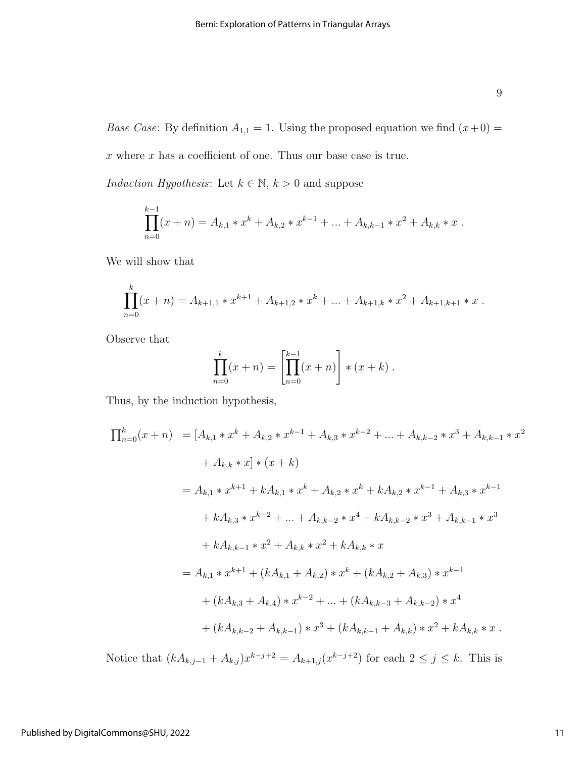*Base Case*: By definition  $A_{1,1} = 1$ . Using the proposed equation we find  $(x+0) =$  $\boldsymbol{x}$  where  $\boldsymbol{x}$  has a coefficient of one. Thus our base case is true.

Induction Hypothesis: Let  $k \in \mathbb{N}$ ,  $k > 0$  and suppose

$$
\prod_{n=0}^{k-1} (x+n) = A_{k,1} * x^k + A_{k,2} * x^{k-1} + \dots + A_{k,k-1} * x^2 + A_{k,k} * x.
$$

We will show that

$$
\prod_{n=0}^{k} (x+n) = A_{k+1,1} * x^{k+1} + A_{k+1,2} * x^{k} + \dots + A_{k+1,k} * x^{2} + A_{k+1,k+1} * x.
$$

Observe that

$$
\prod_{n=0}^{k} (x+n) = \left[ \prod_{n=0}^{k-1} (x+n) \right] * (x+k).
$$

Thus, by the induction hypothesis,

$$
\prod_{n=0}^{k} (x + n) = [A_{k,1} * x^{k} + A_{k,2} * x^{k-1} + A_{k,3} * x^{k-2} + ... + A_{k,k-2} * x^{3} + A_{k,k-1} * x^{2}
$$
  
+  $A_{k,k} * x$ ]\*  $(x + k)$   
=  $A_{k,1} * x^{k+1} + kA_{k,1} * x^{k} + A_{k,2} * x^{k} + kA_{k,2} * x^{k-1} + A_{k,3} * x^{k-1}$   
+  $kA_{k,3} * x^{k-2} + ... + A_{k,k-2} * x^{4} + kA_{k,k-2} * x^{3} + A_{k,k-1} * x^{3}$   
+  $kA_{k,k-1} * x^{2} + A_{k,k} * x^{2} + kA_{k,k} * x$   
=  $A_{k,1} * x^{k+1} + (kA_{k,1} + A_{k,2}) * x^{k} + (kA_{k,2} + A_{k,3}) * x^{k-1}$   
+  $(kA_{k,3} + A_{k,4}) * x^{k-2} + ... + (kA_{k,k-3} + A_{k,k-2}) * x^{4}$   
+  $(kA_{k,k-2} + A_{k,k-1}) * x^{3} + (kA_{k,k-1} + A_{k,k}) * x^{2} + kA_{k,k} * x$ .

Notice that  $(kA_{k,j-1} + A_{k,j})x^{k-j+2} = A_{k+1,j}(x^{k-j+2})$  for each  $2 \le j \le k$ . This is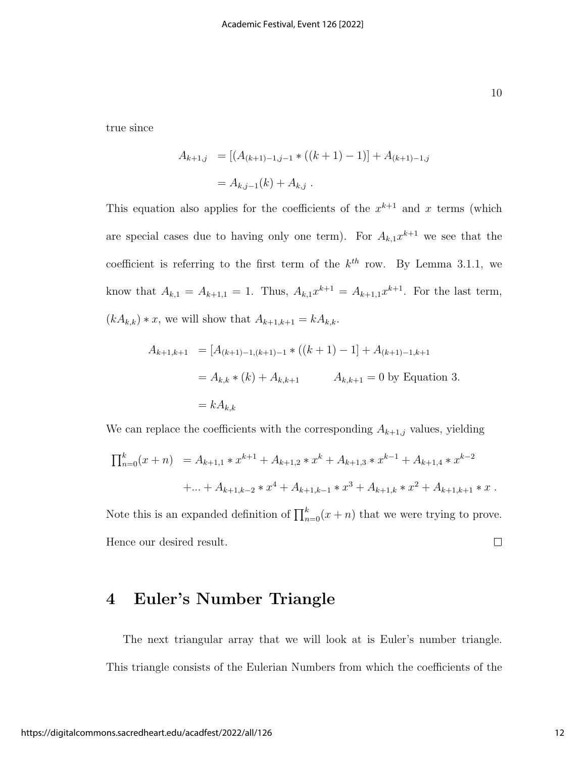true since

$$
A_{k+1,j} = [(A_{(k+1)-1,j-1} * ((k+1) - 1)] + A_{(k+1)-1,j}]
$$
  
=  $A_{k,j-1}(k) + A_{k,j}$ .

This equation also applies for the coefficients of the  $x^{k+1}$  and x terms (which are special cases due to having only one term). For  $A_{k,1}x^{k+1}$  we see that the coefficient is referring to the first term of the  $k^{th}$  row. By Lemma 3.1.1, we know that  $A_{k,1} = A_{k+1,1} = 1$ . Thus,  $A_{k,1}x^{k+1} = A_{k+1,1}x^{k+1}$ . For the last term,  $(kA_{k,k}) * x$ , we will show that  $A_{k+1,k+1} = kA_{k,k}$ .

$$
A_{k+1,k+1} = [A_{(k+1)-1,(k+1)-1} * ((k+1) - 1] + A_{(k+1)-1,k+1}
$$
  
=  $A_{k,k} * (k) + A_{k,k+1}$   $A_{k,k+1} = 0$  by Equation 3.  
=  $kA_{k,k}$ 

We can replace the coefficients with the corresponding  $A_{k+1,j}$  values, yielding

$$
\prod_{n=0}^{k} (x+n) = A_{k+1,1} * x^{k+1} + A_{k+1,2} * x^{k} + A_{k+1,3} * x^{k-1} + A_{k+1,4} * x^{k-2}
$$
  
+ ... +  $A_{k+1,k-2} * x^{4} + A_{k+1,k-1} * x^{3} + A_{k+1,k} * x^{2} + A_{k+1,k+1} * x$ .

Note this is an expanded definition of  $\prod_{n=0}^{k}(x + n)$  that we were trying to prove. Hence our desired result.  $\Box$ 

## 4 Euler's Number Triangle

The next triangular array that we will look at is Euler's number triangle. This triangle consists of the Eulerian Numbers from which the coefficients of the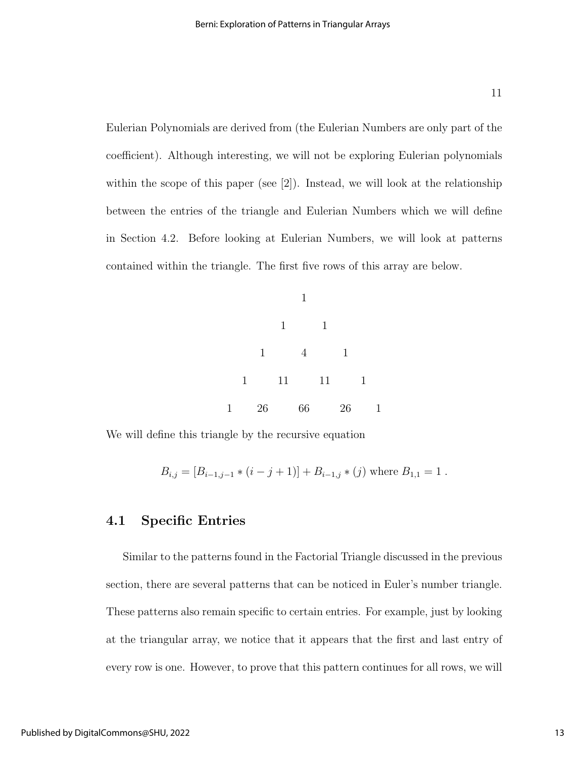Eulerian Polynomials are derived from (the Eulerian Numbers are only part of the coefficient). Although interesting, we will not be exploring Eulerian polynomials within the scope of this paper (see [2]). Instead, we will look at the relationship between the entries of the triangle and Eulerian Numbers which we will define in Section 4.2. Before looking at Eulerian Numbers, we will look at patterns contained within the triangle. The first five rows of this array are below.



We will define this triangle by the recursive equation

$$
B_{i,j} = [B_{i-1,j-1} * (i - j + 1)] + B_{i-1,j} * (j) \text{ where } B_{1,1} = 1.
$$

#### 4.1 Specific Entries

Similar to the patterns found in the Factorial Triangle discussed in the previous section, there are several patterns that can be noticed in Euler's number triangle. These patterns also remain specific to certain entries. For example, just by looking at the triangular array, we notice that it appears that the first and last entry of every row is one. However, to prove that this pattern continues for all rows, we will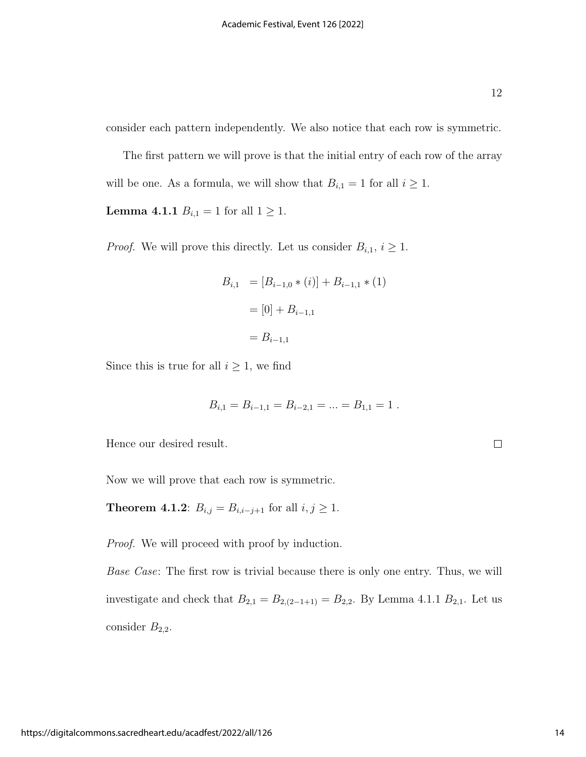$\Box$ 

consider each pattern independently. We also notice that each row is symmetric.

The first pattern we will prove is that the initial entry of each row of the array will be one. As a formula, we will show that  $B_{i,1} = 1$  for all  $i \geq 1$ .

**Lemma 4.1.1**  $B_{i,1} = 1$  for all  $1 \ge 1$ .

*Proof.* We will prove this directly. Let us consider  $B_{i,1}$ ,  $i \geq 1$ .

$$
B_{i,1} = [B_{i-1,0} * (i)] + B_{i-1,1} * (1)
$$

$$
= [0] + B_{i-1,1}
$$

$$
= B_{i-1,1}
$$

Since this is true for all  $i \geq 1$ , we find

$$
B_{i,1} = B_{i-1,1} = B_{i-2,1} = \dots = B_{1,1} = 1.
$$

Hence our desired result.

Now we will prove that each row is symmetric.

**Theorem 4.1.2**:  $B_{i,j} = B_{i,i-j+1}$  for all  $i, j \ge 1$ .

Proof. We will proceed with proof by induction.

Base Case: The first row is trivial because there is only one entry. Thus, we will investigate and check that  $B_{2,1} = B_{2,(2-1+1)} = B_{2,2}$ . By Lemma 4.1.1  $B_{2,1}$ . Let us consider  $B_{2,2}$ .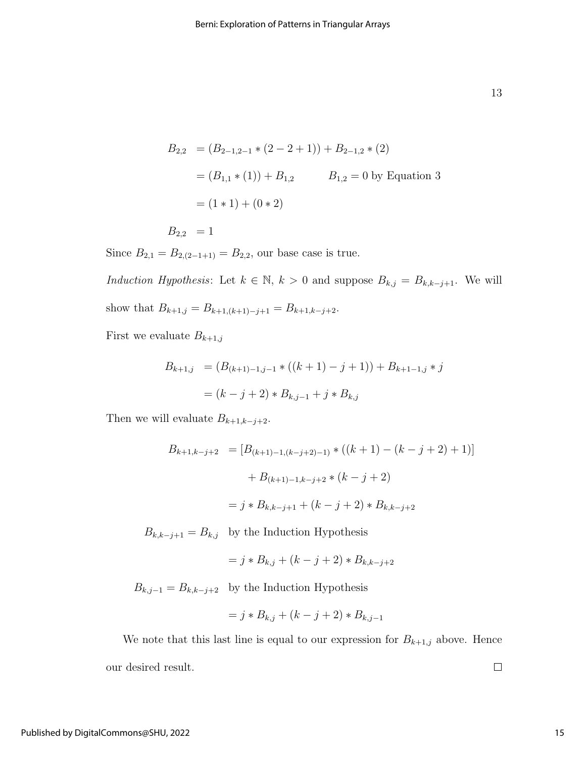13

$$
B_{2,2} = (B_{2-1,2-1} * (2 - 2 + 1)) + B_{2-1,2} * (2)
$$
  
=  $(B_{1,1} * (1)) + B_{1,2}$   $B_{1,2} = 0$  by Equation 3  
=  $(1 * 1) + (0 * 2)$   
 $B_{2,2} = 1$ 

Since  $B_{2,1} = B_{2,(2-1+1)} = B_{2,2}$ , our base case is true.

Induction Hypothesis: Let  $k \in \mathbb{N}$ ,  $k > 0$  and suppose  $B_{k,j} = B_{k,k-j+1}$ . We will show that  $B_{k+1,j} = B_{k+1,(k+1)-j+1} = B_{k+1,k-j+2}$ .

First we evaluate  $B_{k+1,j}$ 

$$
B_{k+1,j} = (B_{(k+1)-1,j-1} * ((k+1) - j + 1)) + B_{k+1-1,j} * j
$$
  
=  $(k - j + 2) * B_{k,j-1} + j * B_{k,j}$ 

Then we will evaluate  $B_{k+1,k-j+2}$ .

$$
B_{k+1,k-j+2} = [B_{(k+1)-1,(k-j+2)-1)} * ((k+1) - (k-j+2) + 1)]
$$

$$
+ B_{(k+1)-1,k-j+2} * (k-j+2)
$$

$$
= j * B_{k,k-j+1} + (k-j+2) * B_{k,k-j+2}
$$

 $B_{k,k-j+1} = B_{k,j}$  by the Induction Hypothesis

$$
= j * B_{k,j} + (k - j + 2) * B_{k,k-j+2}
$$

 $B_{k,j-1} = B_{k,k-j+2}$  by the Induction Hypothesis

$$
= j * B_{k,j} + (k - j + 2) * B_{k,j-1}
$$

We note that this last line is equal to our expression for  $B_{k+1,j}$  above. Hence our desired result.  $\Box$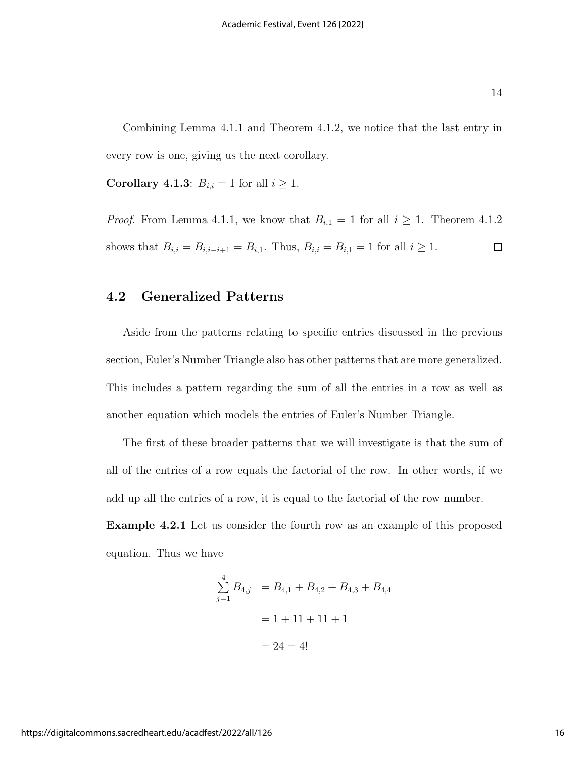Combining Lemma 4.1.1 and Theorem 4.1.2, we notice that the last entry in every row is one, giving us the next corollary.

Corollary 4.1.3:  $B_{i,i} = 1$  for all  $i \geq 1$ .

*Proof.* From Lemma 4.1.1, we know that  $B_{i,1} = 1$  for all  $i \geq 1$ . Theorem 4.1.2 shows that  $B_{i,i} = B_{i,i-i+1} = B_{i,1}$ . Thus,  $B_{i,i} = B_{i,1} = 1$  for all  $i \ge 1$ .  $\Box$ 

#### 4.2 Generalized Patterns

Aside from the patterns relating to specific entries discussed in the previous section, Euler's Number Triangle also has other patterns that are more generalized. This includes a pattern regarding the sum of all the entries in a row as well as another equation which models the entries of Euler's Number Triangle.

The first of these broader patterns that we will investigate is that the sum of all of the entries of a row equals the factorial of the row. In other words, if we add up all the entries of a row, it is equal to the factorial of the row number.

Example 4.2.1 Let us consider the fourth row as an example of this proposed equation. Thus we have

$$
\sum_{j=1}^{4} B_{4,j} = B_{4,1} + B_{4,2} + B_{4,3} + B_{4,4}
$$

$$
= 1 + 11 + 11 + 1
$$

$$
= 24 = 4!
$$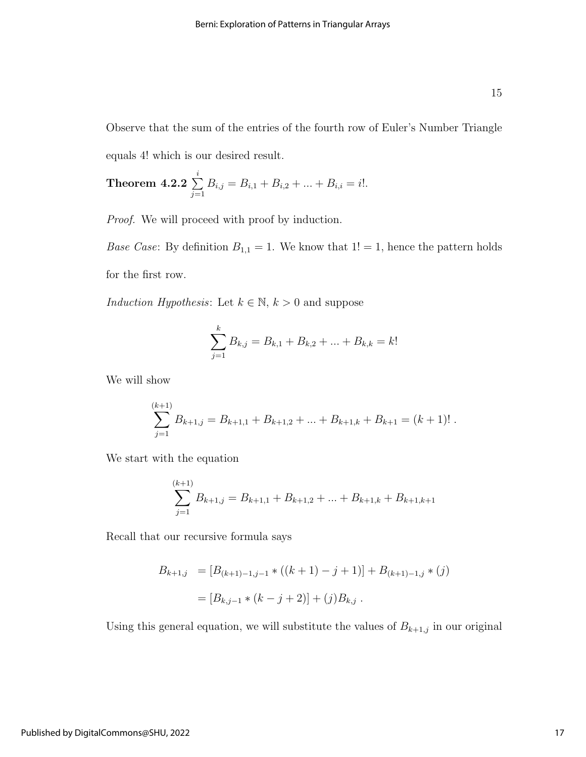Observe that the sum of the entries of the fourth row of Euler's Number Triangle equals 4! which is our desired result.

**Theorem 4.2.2** 
$$
\sum_{j=1}^{i} B_{i,j} = B_{i,1} + B_{i,2} + ... + B_{i,i} = i!
$$
.

Proof. We will proceed with proof by induction.

*Base Case*: By definition  $B_{1,1} = 1$ . We know that  $1! = 1$ , hence the pattern holds for the first row.

Induction Hypothesis: Let  $k \in \mathbb{N}$ ,  $k > 0$  and suppose

$$
\sum_{j=1}^{k} B_{k,j} = B_{k,1} + B_{k,2} + \dots + B_{k,k} = k!
$$

We will show

$$
\sum_{j=1}^{(k+1)} B_{k+1,j} = B_{k+1,1} + B_{k+1,2} + \ldots + B_{k+1,k} + B_{k+1} = (k+1)!.
$$

We start with the equation

$$
\sum_{j=1}^{(k+1)} B_{k+1,j} = B_{k+1,1} + B_{k+1,2} + \dots + B_{k+1,k} + B_{k+1,k+1}
$$

Recall that our recursive formula says

$$
B_{k+1,j} = [B_{(k+1)-1,j-1} * ((k+1) - j + 1)] + B_{(k+1)-1,j} * (j)
$$
  
= 
$$
[B_{k,j-1} * (k - j + 2)] + (j)B_{k,j}.
$$

Using this general equation, we will substitute the values of  $B_{k+1,j}$  in our original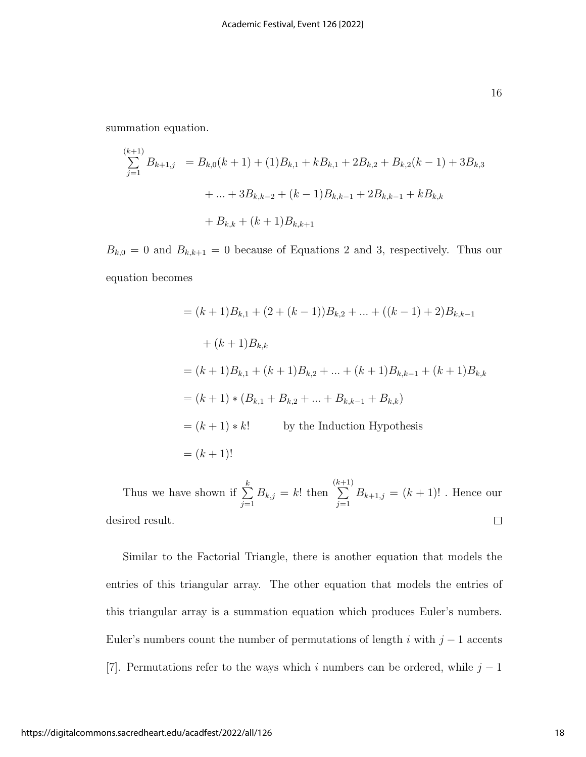summation equation.

$$
\sum_{j=1}^{(k+1)} B_{k+1,j} = B_{k,0}(k+1) + (1)B_{k,1} + kB_{k,1} + 2B_{k,2} + B_{k,2}(k-1) + 3B_{k,3}
$$
  
+ ... +  $3B_{k,k-2} + (k-1)B_{k,k-1} + 2B_{k,k-1} + kB_{k,k}$   
+  $B_{k,k} + (k+1)B_{k,k+1}$ 

 $B_{k,0} = 0$  and  $B_{k,k+1} = 0$  because of Equations 2 and 3, respectively. Thus our equation becomes

$$
= (k+1)B_{k,1} + (2 + (k-1))B_{k,2} + \dots + ((k-1) + 2)B_{k,k-1}
$$
  
+  $(k+1)B_{k,k}$   
=  $(k+1)B_{k,1} + (k+1)B_{k,2} + \dots + (k+1)B_{k,k-1} + (k+1)B_{k,k}$   
=  $(k+1) * (B_{k,1} + B_{k,2} + \dots + B_{k,k-1} + B_{k,k})$   
=  $(k+1) * k!$  by the Induction Hypothesis  
=  $(k+1)!$ 

(k +1) Thus we have shown if  $\sum_{k=1}^{k}$  $B_{k,j} = k!$  then  $\sum$  $B_{k+1,j} = (k+1)!$ . Hence our  $j=1$  $j=1$ desired result.  $\Box$ 

Similar to the Factorial Triangle, there is another equation that models the entries of this triangular array. The other equation that models the entries of this triangular array is a summation equation which produces Euler's numbers. Euler's numbers count the number of permutations of length i with  $j-1$  accents [7]. Permutations refer to the ways which i numbers can be ordered, while  $j - 1$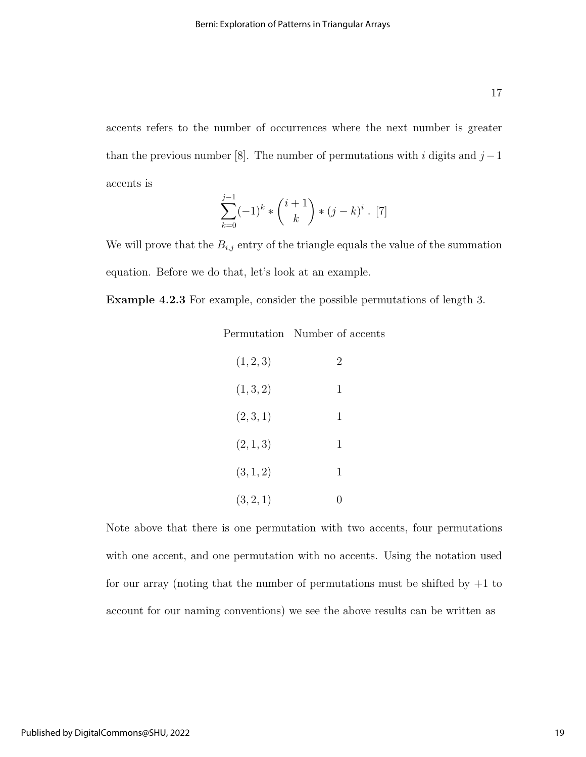accents refers to the number of occurrences where the next number is greater than the previous number [8]. The number of permutations with i digits and  $j-1$ 

accents is

$$
\sum_{k=0}^{j-1} (-1)^k * {\binom{i+1}{k}} * (j-k)^i . [7]
$$

We will prove that the  $B_{i,j}$  entry of the triangle equals the value of the summation equation. Before we do that, let's look at an example.

Example 4.2.3 For example, consider the possible permutations of length 3.

| (1, 2, 3) | 2                |
|-----------|------------------|
| (1, 3, 2) | 1                |
| (2, 3, 1) | 1                |
| (2, 1, 3) | 1                |
| (3, 1, 2) | 1                |
| (3, 2, 1) | $\left( \right)$ |

Note above that there is one permutation with two accents, four permutations with one accent, and one permutation with no accents. Using the notation used for our array (noting that the number of permutations must be shifted by  $+1$  to account for our naming conventions) we see the above results can be written as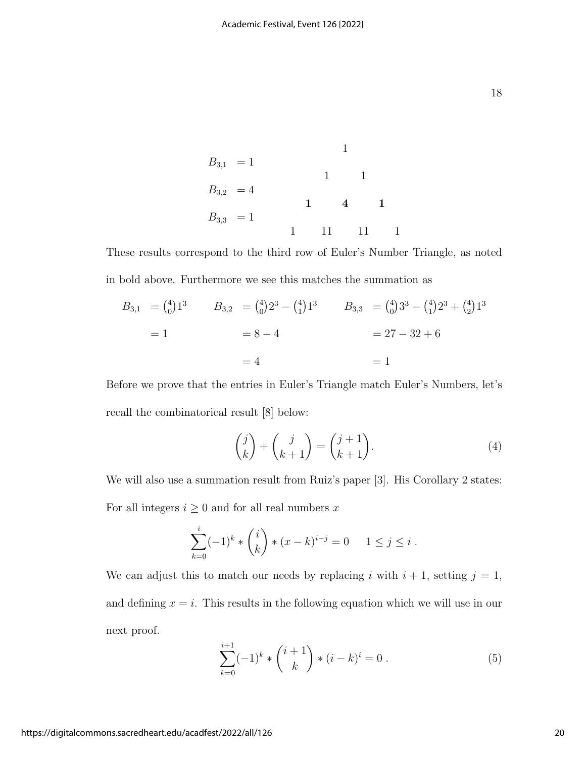18

 $B_{3,1} = 1$  $B_{3,2} = 4$  $B_{3,3} = 1$ 1 1 1 1 4 1 1 11 11 1

These results correspond to the third row of Euler's Number Triangle, as noted in bold above. Furthermore we see this matches the summation as

$$
B_{3,1} = \binom{4}{0} 1^3 \qquad B_{3,2} = \binom{4}{0} 2^3 - \binom{4}{1} 1^3 \qquad B_{3,3} = \binom{4}{0} 3^3 - \binom{4}{1} 2^3 + \binom{4}{2} 1^3
$$
  
= 1 = 8 - 4 = 27 - 32 + 6  
= 4 = 1

Before we prove that the entries in Euler's Triangle match Euler's Numbers, let's recall the combinatorical result [8] below:

$$
\begin{pmatrix} j \\ k \end{pmatrix} + \begin{pmatrix} j \\ k+1 \end{pmatrix} = \begin{pmatrix} j+1 \\ k+1 \end{pmatrix}.
$$
 (4)

We will also use a summation result from Ruiz's paper [3]. His Corollary 2 states: For all integers  $i \geq 0$  and for all real numbers  $x$ 

$$
\sum_{k=0}^{i} (-1)^k * {i \choose k} * (x-k)^{i-j} = 0 \quad 1 \le j \le i.
$$

We can adjust this to match our needs by replacing i with  $i + 1$ , setting  $j = 1$ , and defining  $x = i$ . This results in the following equation which we will use in our next proof.

$$
\sum_{k=0}^{i+1} (-1)^k * \binom{i+1}{k} * (i-k)^i = 0.
$$
 (5)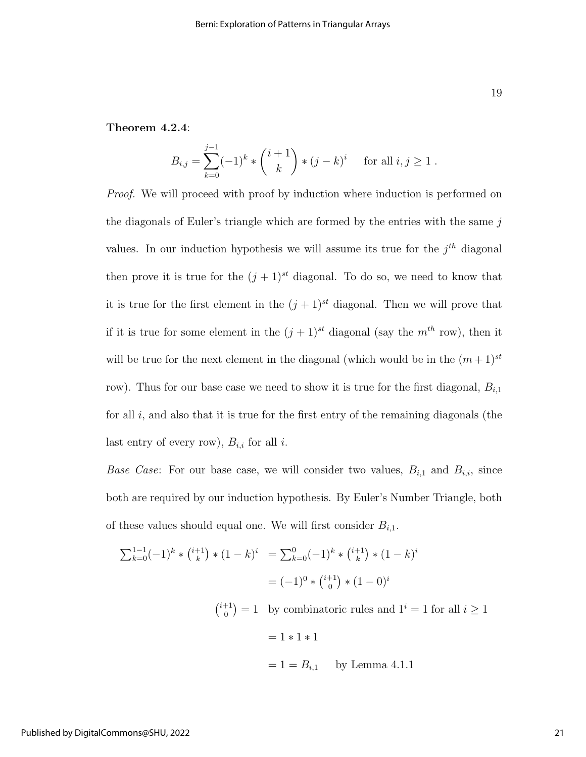#### Theorem 4.2.4:

$$
B_{i,j} = \sum_{k=0}^{j-1} (-1)^k * {i+1 \choose k} * (j-k)^i \quad \text{for all } i, j \ge 1.
$$

*Proof.* We will proceed with proof by induction where induction is performed on the diagonals of Euler's triangle which are formed by the entries with the same  $j$ values. In our induction hypothesis we will assume its true for the  $j<sup>th</sup>$  diagonal then prove it is true for the  $(j + 1)^{st}$  diagonal. To do so, we need to know that it is true for the first element in the  $(j + 1)^{st}$  diagonal. Then we will prove that if it is true for some element in the  $(j + 1)^{st}$  diagonal (say the  $m^{th}$  row), then it will be true for the next element in the diagonal (which would be in the  $(m+1)^{st}$ row). Thus for our base case we need to show it is true for the first diagonal,  $B_{i,1}$ for all  $i$ , and also that it is true for the first entry of the remaining diagonals (the last entry of every row),  $B_{i,i}$  for all i.

*Base Case:* For our base case, we will consider two values,  $B_{i,1}$  and  $B_{i,i}$ , since both are required by our induction hypothesis. By Euler's Number Triangle, both of these values should equal one. We will first consider  $B_{i,1}$ .

$$
\sum_{k=0}^{1-1} (-1)^k * {\binom{i+1}{k}} * (1-k)^i = \sum_{k=0}^{0} (-1)^k * {\binom{i+1}{k}} * (1-k)^i
$$

$$
= (-1)^0 * {\binom{i+1}{0}} * (1-0)^i
$$

 $\binom{i+1}{0}$  $\binom{+1}{0} = 1$  by combinatoric rules and  $1^i = 1$  for all  $i \ge 1$ 

 $= 1 * 1 * 1$ 

$$
= 1 = B_{i,1}
$$
 by Lemma 4.1.1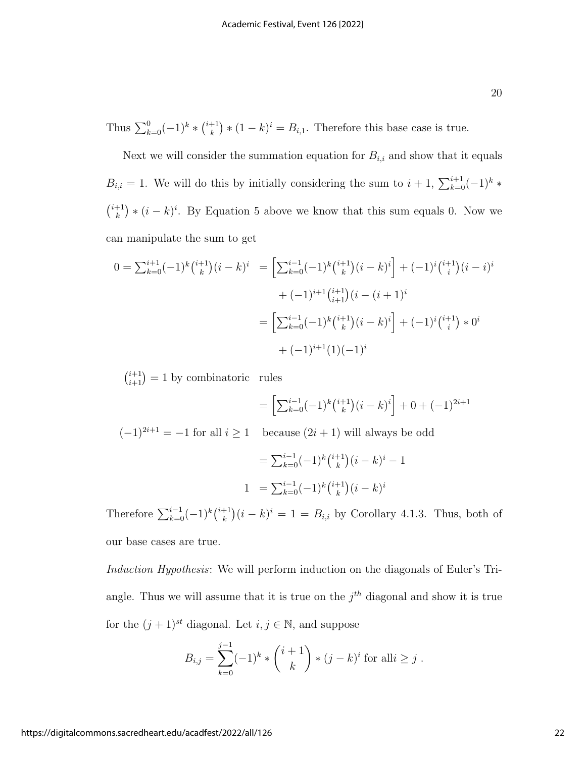Thus  $\sum_{k=0}^{0} (-1)^k * \binom{i+1}{k}$  $(k)$  \*  $(1-k)^i = B_{i,1}$ . Therefore this base case is true.

Next we will consider the summation equation for  $B_{i,i}$  and show that it equals  $B_{i,i} = 1$ . We will do this by initially considering the sum to  $i + 1$ ,  $\sum_{k=0}^{i+1} (-1)^k *$  $\binom{i+1}{k}$  $(k)$  \*  $(i - k)^i$ . By Equation 5 above we know that this sum equals 0. Now we can manipulate the sum to get

$$
0 = \sum_{k=0}^{i+1} (-1)^k \binom{i+1}{k} (i-k)^i = \left[ \sum_{k=0}^{i-1} (-1)^k \binom{i+1}{k} (i-k)^i \right] + (-1)^i \binom{i+1}{i} (i-i)^i
$$

$$
+ (-1)^{i+1} \binom{i+1}{i+1} (i-(i+1)^i)
$$

$$
= \left[ \sum_{k=0}^{i-1} (-1)^k \binom{i+1}{k} (i-k)^i \right] + (-1)^i \binom{i+1}{i} * 0^i
$$

$$
+ (-1)^{i+1} (1)(-1)^i
$$

 $\binom{i+1}{i+1} = 1$  by combinatoric rules

$$
= \left[\sum_{k=0}^{i-1} (-1)^k \binom{i+1}{k} (i-k)^i\right] + 0 + (-1)^{2i+1}
$$

 $\mathbf 1$ 

 $(-1)^{2i+1} = -1$  for all  $i \ge 1$  because  $(2i + 1)$  will always be odd

$$
= \sum_{k=0}^{i-1} (-1)^k {i+1 \choose k} (i-k)^i -
$$
  

$$
1 = \sum_{k=0}^{i-1} (-1)^k {i+1 \choose k} (i-k)^i
$$

Therefore  $\sum_{k=0}^{i-1}(-1)^k\binom{i+1}{k}$  $(k)$ <sup>+1</sup> $(k)$ <sup>i</sup> = 1 =  $B_{i,i}$  by Corollary 4.1.3. Thus, both of our base cases are true.

Induction Hypothesis: We will perform induction on the diagonals of Euler's Triangle. Thus we will assume that it is true on the  $j<sup>th</sup>$  diagonal and show it is true for the  $(j + 1)^{st}$  diagonal. Let  $i, j \in \mathbb{N}$ , and suppose

$$
B_{i,j} = \sum_{k=0}^{j-1} (-1)^k * {i+1 \choose k} * (j-k)^i
$$
 for all  $i \ge j$ .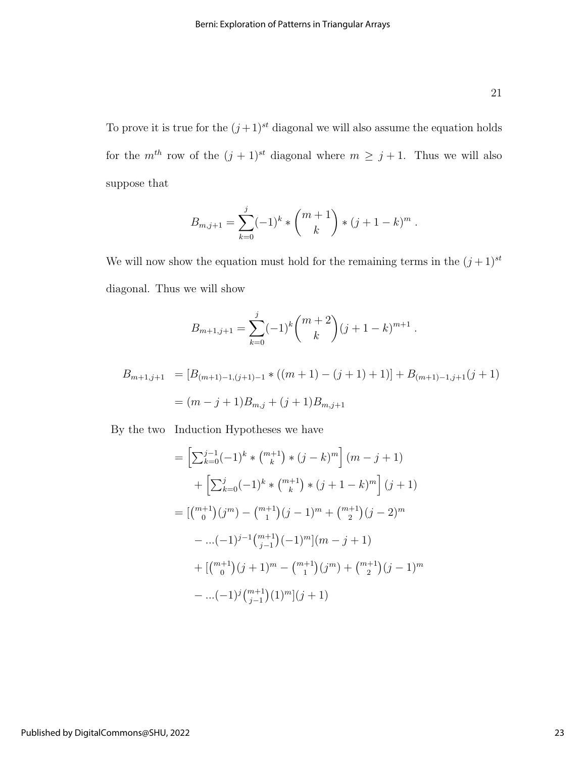To prove it is true for the  $(j+1)^{st}$  diagonal we will also assume the equation holds for the  $m^{th}$  row of the  $(j + 1)^{st}$  diagonal where  $m \ge j + 1$ . Thus we will also suppose that

$$
B_{m,j+1} = \sum_{k=0}^{j} (-1)^k * {m+1 \choose k} * (j+1-k)^m.
$$

We will now show the equation must hold for the remaining terms in the  $(j+1)^{st}$ diagonal. Thus we will show

$$
B_{m+1,j+1} = \sum_{k=0}^{j} (-1)^k {m+2 \choose k} (j+1-k)^{m+1}.
$$

$$
B_{m+1,j+1} = [B_{(m+1)-1,(j+1)-1} * ((m+1) - (j+1) + 1)] + B_{(m+1)-1,j+1}(j+1)
$$
  
=  $(m-j+1)B_{m,j} + (j+1)B_{m,j+1}$ 

By the two Induction Hypotheses we have

$$
= \left[\sum_{k=0}^{j-1}(-1)^k * \binom{m+1}{k} * (j-k)^m\right](m-j+1)
$$
  
+ 
$$
\left[\sum_{k=0}^{j}(-1)^k * \binom{m+1}{k} * (j+1-k)^m\right](j+1)
$$
  
= 
$$
\left[\binom{m+1}{0}(j^m) - \binom{m+1}{1}(j-1)^m + \binom{m+1}{2}(j-2)^m\right.
$$
  
- ...
$$
(-1)^{j-1}\binom{m+1}{j-1}(-1)^m\left[(m-j+1)\right]
$$
  
+ 
$$
\left[\binom{m+1}{0}(j+1)^m - \binom{m+1}{1}(j^m) + \binom{m+1}{2}(j-1)^m\right]
$$
  
- ...
$$
(-1)^j \binom{m+1}{j-1}(1)^m\left[(j+1)\right]
$$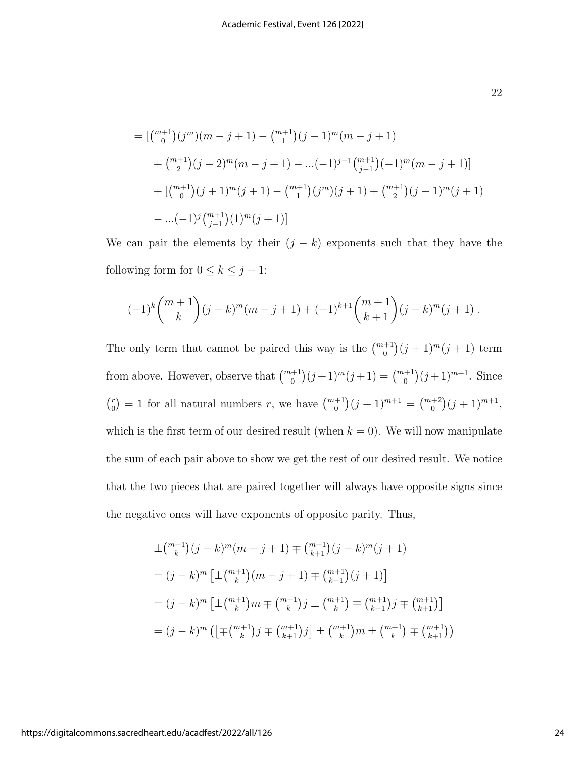$$
= [{{m+1} \choose 0}(j^m)(m-j+1) - {{m+1} \choose 1}(j-1)^m(m-j+1)
$$
  
+ 
$$
{m+1 \choose 2}(j-2)^m(m-j+1) - ...(-1)^{j-1} {m+1 \choose j-1}(-1)^m(m-j+1)]
$$
  
+ 
$$
[{{m+1} \choose 0}(j+1)^m(j+1) - {{m+1} \choose 1}(j^m)(j+1) + {{m+1} \choose 2}(j-1)^m(j+1)]
$$
  
- ...(-1)<sup>j</sup> 
$$
{m+1 \choose j-1}(1)^m(j+1)]
$$

We can pair the elements by their  $(j - k)$  exponents such that they have the following form for  $0\leq k\leq j-1:$ 

$$
(-1)^k {m+1 \choose k} (j-k)^m (m-j+1) + (-1)^{k+1} {m+1 \choose k+1} (j-k)^m (j+1) .
$$

The only term that cannot be paired this way is the  $\binom{m+1}{0}(j+1)^m(j+1)$  term from above. However, observe that  $\binom{m+1}{0}(j+1)^m(j+1) = \binom{m+1}{0}(j+1)^{m+1}$ . Since  $\binom{r}{0}$  $\binom{r}{0} = 1$  for all natural numbers r, we have  $\binom{m+1}{0}(j+1)^{m+1} = \binom{m+2}{0}(j+1)^{m+1}$ , which is the first term of our desired result (when  $k = 0$ ). We will now manipulate the sum of each pair above to show we get the rest of our desired result. We notice that the two pieces that are paired together will always have opposite signs since the negative ones will have exponents of opposite parity. Thus,

$$
\pm {m+1 \choose k} (j-k)^m (m-j+1) \mp {m+1 \choose k+1} (j-k)^m (j+1)
$$
  
=  $(j-k)^m \left[ \pm {m+1 \choose k} (m-j+1) \mp {m+1 \choose k+1} (j+1) \right]$   
=  $(j-k)^m \left[ \pm {m+1 \choose k} m \mp {m+1 \choose k} j \pm {m+1 \choose k} \mp {m+1 \choose k+1} j \mp {m+1 \choose k+1} \right]$   
=  $(j-k)^m \left( \left[ \mp {m+1 \choose k} j \mp {m+1 \choose k+1} j \right] \pm {m+1 \choose k} m \pm {m+1 \choose k} \mp {m+1 \choose k+1} \right)$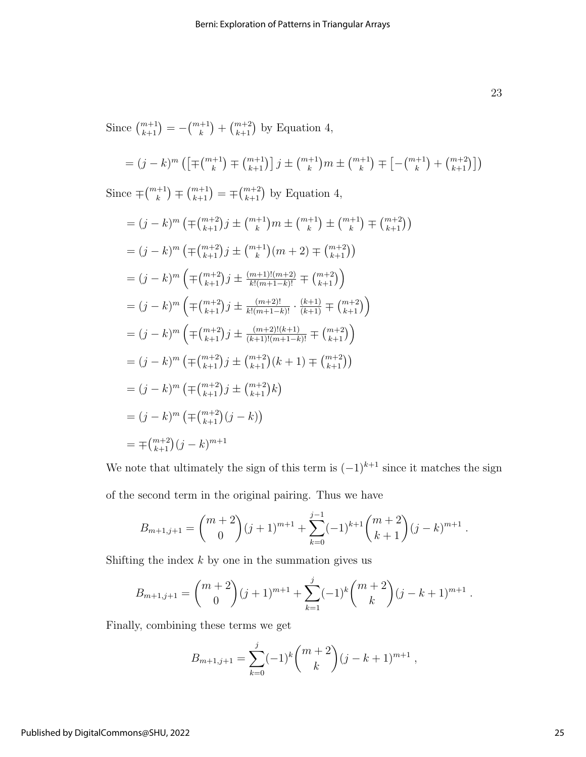Since  $\binom{m+1}{k+1} = -\binom{m+1}{k} + \binom{m+2}{k+1}$  by Equation 4,

$$
= (j - k)^m \left( \left[ \mp {m+1 \choose k} \mp {m+1 \choose k+1} \right] j \pm {m+1 \choose k} m \pm {m+1 \choose k} \mp \left[ - {m+1 \choose k} + {m+2 \choose k+1} \right] \right)
$$

Since  $\mp \binom{m+1}{k} \mp \binom{m+1}{k+1} = \mp \binom{m+2}{k+1}$  by Equation 4,

$$
= (j - k)^m \left( \mp {m+2 \choose k+1} j \pm {m+1 \choose k} m \pm {m+1 \choose k} \pm {m+1 \choose k} \mp {m+2 \choose k+1} \right)
$$
  
\n
$$
= (j - k)^m \left( \mp {m+2 \choose k+1} j \pm {m+1 \choose k} (m+2) \mp {m+2 \choose k+1} \right)
$$
  
\n
$$
= (j - k)^m \left( \mp {m+2 \choose k+1} j \pm \frac{(m+1)!(m+2)}{k!(m+1-k)!} \mp {m+2 \choose k+1} \right)
$$
  
\n
$$
= (j - k)^m \left( \mp {m+2 \choose k+1} j \pm \frac{(m+2)!}{k!(m+1-k)!} \cdot \frac{(k+1)}{(k+1)!} \mp {m+2 \choose k+1} \right)
$$
  
\n
$$
= (j - k)^m \left( \mp {m+2 \choose k+1} j \pm \frac{(m+2)!(k+1)}{(k+1)!(m+1-k)!} \mp {m+2 \choose k+1} \right)
$$
  
\n
$$
= (j - k)^m \left( \mp {m+2 \choose k+1} j \pm {m+2 \choose k+1} (k+1) \mp {m+2 \choose k+1} \right)
$$
  
\n
$$
= (j - k)^m \left( \mp {m+2 \choose k+1} j \pm {m+2 \choose k+1} k \right)
$$
  
\n
$$
= (j - k)^m \left( \mp {m+2 \choose k+1} (j - k) \right)
$$
  
\n
$$
= \mp {m+2 \choose k+1} (j - k)^{m+1}
$$

We note that ultimately the sign of this term is  $(-1)^{k+1}$  since it matches the sign of the second term in the original pairing. Thus we have

$$
B_{m+1,j+1} = \binom{m+2}{0} (j+1)^{m+1} + \sum_{k=0}^{j-1} (-1)^{k+1} \binom{m+2}{k+1} (j-k)^{m+1}.
$$

Shifting the index  $k$  by one in the summation gives us

$$
B_{m+1,j+1} = \binom{m+2}{0} (j+1)^{m+1} + \sum_{k=1}^{j} (-1)^k \binom{m+2}{k} (j-k+1)^{m+1}.
$$

Finally, combining these terms we get

$$
B_{m+1,j+1} = \sum_{k=0}^{j} (-1)^k {m+2 \choose k} (j-k+1)^{m+1},
$$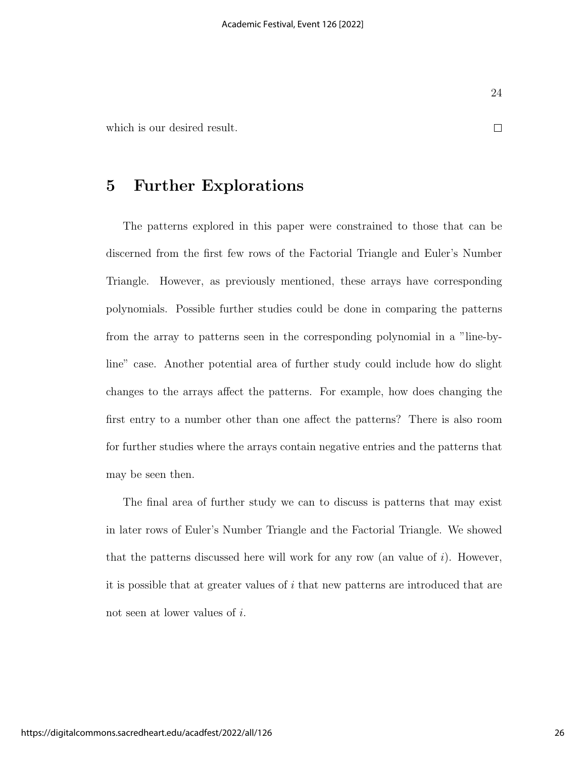$\Box$ 

which is our desired result.

## 5 Further Explorations

The patterns explored in this paper were constrained to those that can be discerned from the first few rows of the Factorial Triangle and Euler's Number Triangle. However, as previously mentioned, these arrays have corresponding polynomials. Possible further studies could be done in comparing the patterns from the array to patterns seen in the corresponding polynomial in a "line-byline" case. Another potential area of further study could include how do slight changes to the arrays affect the patterns. For example, how does changing the first entry to a number other than one affect the patterns? There is also room for further studies where the arrays contain negative entries and the patterns that may be seen then.

The final area of further study we can to discuss is patterns that may exist in later rows of Euler's Number Triangle and the Factorial Triangle. We showed that the patterns discussed here will work for any row (an value of  $i$ ). However, it is possible that at greater values of i that new patterns are introduced that are not seen at lower values of i.